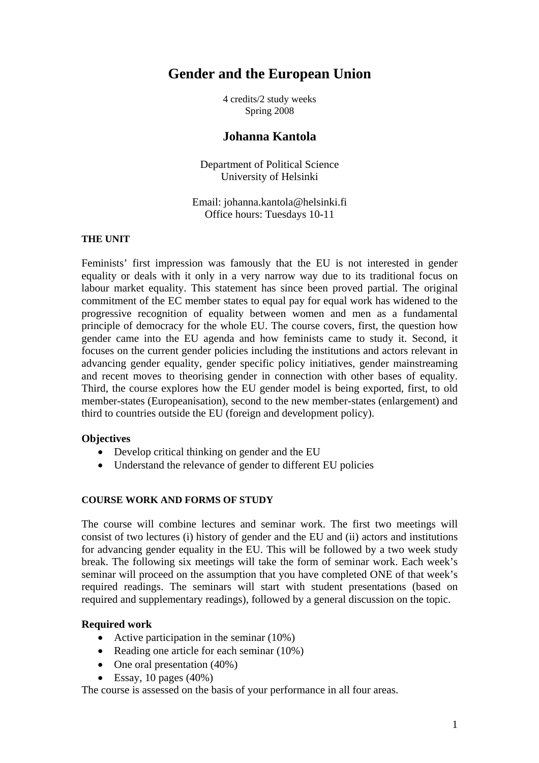# **Gender and the European Union**

4 credits/2 study weeks Spring 2008

# **Johanna Kantola**

Department of Political Science University of Helsinki

Email: johanna.kantola@helsinki.fi Office hours: Tuesdays 10-11

#### **THE UNIT**

Feminists' first impression was famously that the EU is not interested in gender equality or deals with it only in a very narrow way due to its traditional focus on labour market equality. This statement has since been proved partial. The original commitment of the EC member states to equal pay for equal work has widened to the progressive recognition of equality between women and men as a fundamental principle of democracy for the whole EU. The course covers, first, the question how gender came into the EU agenda and how feminists came to study it. Second, it focuses on the current gender policies including the institutions and actors relevant in advancing gender equality, gender specific policy initiatives, gender mainstreaming and recent moves to theorising gender in connection with other bases of equality. Third, the course explores how the EU gender model is being exported, first, to old member-states (Europeanisation), second to the new member-states (enlargement) and third to countries outside the EU (foreign and development policy).

#### **Objectives**

- Develop critical thinking on gender and the EU
- Understand the relevance of gender to different EU policies

#### **COURSE WORK AND FORMS OF STUDY**

The course will combine lectures and seminar work. The first two meetings will consist of two lectures (i) history of gender and the EU and (ii) actors and institutions for advancing gender equality in the EU. This will be followed by a two week study break. The following six meetings will take the form of seminar work. Each week's seminar will proceed on the assumption that you have completed ONE of that week's required readings. The seminars will start with student presentations (based on required and supplementary readings), followed by a general discussion on the topic.

#### **Required work**

- Active participation in the seminar (10%)
- Reading one article for each seminar (10%)
- One oral presentation (40%)
- Essay, 10 pages  $(40\%)$

The course is assessed on the basis of your performance in all four areas.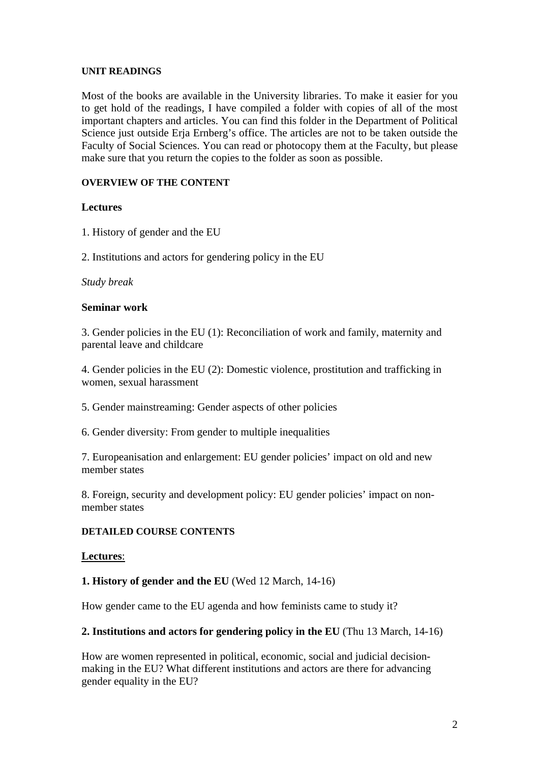## **UNIT READINGS**

Most of the books are available in the University libraries. To make it easier for you to get hold of the readings, I have compiled a folder with copies of all of the most important chapters and articles. You can find this folder in the Department of Political Science just outside Erja Ernberg's office. The articles are not to be taken outside the Faculty of Social Sciences. You can read or photocopy them at the Faculty, but please make sure that you return the copies to the folder as soon as possible.

## **OVERVIEW OF THE CONTENT**

## **Lectures**

1. History of gender and the EU

2. Institutions and actors for gendering policy in the EU

## *Study break*

## **Seminar work**

3. Gender policies in the EU (1): Reconciliation of work and family, maternity and parental leave and childcare

4. Gender policies in the EU (2): Domestic violence, prostitution and trafficking in women, sexual harassment

5. Gender mainstreaming: Gender aspects of other policies

6. Gender diversity: From gender to multiple inequalities

7. Europeanisation and enlargement: EU gender policies' impact on old and new member states

8. Foreign, security and development policy: EU gender policies' impact on nonmember states

## **DETAILED COURSE CONTENTS**

## **Lectures**:

# **1. History of gender and the EU** (Wed 12 March, 14-16)

How gender came to the EU agenda and how feminists came to study it?

## **2. Institutions and actors for gendering policy in the EU** (Thu 13 March, 14-16)

How are women represented in political, economic, social and judicial decisionmaking in the EU? What different institutions and actors are there for advancing gender equality in the EU?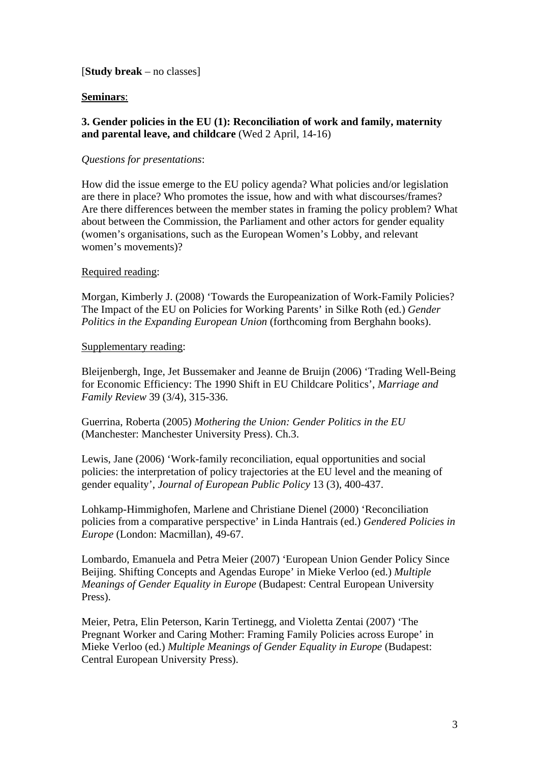## [**Study break** – no classes]

## **Seminars**:

## **3. Gender policies in the EU (1): Reconciliation of work and family, maternity and parental leave, and childcare** (Wed 2 April, 14-16)

## *Questions for presentations*:

How did the issue emerge to the EU policy agenda? What policies and/or legislation are there in place? Who promotes the issue, how and with what discourses/frames? Are there differences between the member states in framing the policy problem? What about between the Commission, the Parliament and other actors for gender equality (women's organisations, such as the European Women's Lobby, and relevant women's movements)?

## Required reading:

Morgan, Kimberly J. (2008) 'Towards the Europeanization of Work-Family Policies? The Impact of the EU on Policies for Working Parents' in Silke Roth (ed.) *Gender Politics in the Expanding European Union* (forthcoming from Berghahn books).

## Supplementary reading:

Bleijenbergh, Inge, Jet Bussemaker and Jeanne de Bruijn (2006) 'Trading Well-Being for Economic Efficiency: The 1990 Shift in EU Childcare Politics', *Marriage and Family Review* 39 (3/4), 315-336.

Guerrina, Roberta (2005) *Mothering the Union: Gender Politics in the EU* (Manchester: Manchester University Press). Ch.3.

Lewis, Jane (2006) 'Work-family reconciliation, equal opportunities and social policies: the interpretation of policy trajectories at the EU level and the meaning of gender equality', *Journal of European Public Policy* 13 (3), 400-437.

Lohkamp-Himmighofen, Marlene and Christiane Dienel (2000) 'Reconciliation policies from a comparative perspective' in Linda Hantrais (ed.) *Gendered Policies in Europe* (London: Macmillan), 49-67.

Lombardo, Emanuela and Petra Meier (2007) 'European Union Gender Policy Since Beijing. Shifting Concepts and Agendas Europe' in Mieke Verloo (ed.) *Multiple Meanings of Gender Equality in Europe* (Budapest: Central European University Press).

Meier, Petra, Elin Peterson, Karin Tertinegg, and Violetta Zentai (2007) 'The Pregnant Worker and Caring Mother: Framing Family Policies across Europe' in Mieke Verloo (ed.) *Multiple Meanings of Gender Equality in Europe* (Budapest: Central European University Press).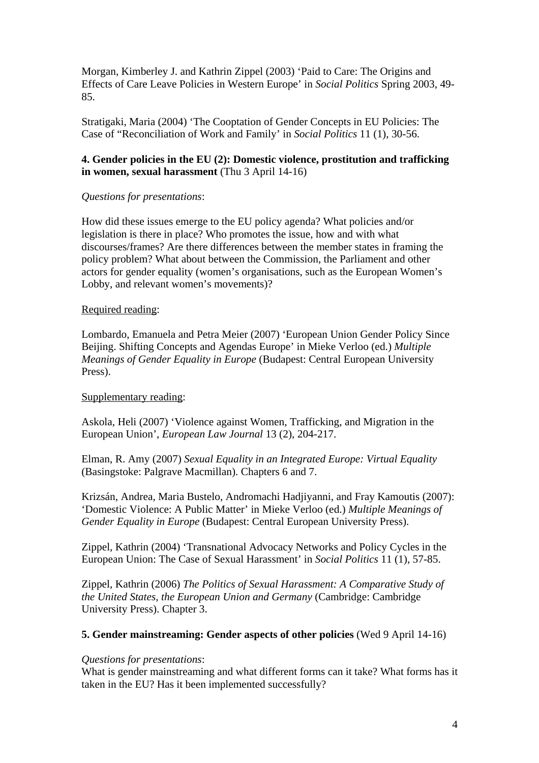Morgan, Kimberley J. and Kathrin Zippel (2003) 'Paid to Care: The Origins and Effects of Care Leave Policies in Western Europe' in *Social Politics* Spring 2003, 49- 85.

Stratigaki, Maria (2004) 'The Cooptation of Gender Concepts in EU Policies: The Case of "Reconciliation of Work and Family' in *Social Politics* 11 (1), 30-56.

## **4. Gender policies in the EU (2): Domestic violence, prostitution and trafficking in women, sexual harassment** (Thu 3 April 14-16)

## *Questions for presentations*:

How did these issues emerge to the EU policy agenda? What policies and/or legislation is there in place? Who promotes the issue, how and with what discourses/frames? Are there differences between the member states in framing the policy problem? What about between the Commission, the Parliament and other actors for gender equality (women's organisations, such as the European Women's Lobby, and relevant women's movements)?

## Required reading:

Lombardo, Emanuela and Petra Meier (2007) 'European Union Gender Policy Since Beijing. Shifting Concepts and Agendas Europe' in Mieke Verloo (ed.) *Multiple Meanings of Gender Equality in Europe* (Budapest: Central European University Press).

# Supplementary reading:

Askola, Heli (2007) 'Violence against Women, Trafficking, and Migration in the European Union', *European Law Journal* 13 (2), 204-217.

Elman, R. Amy (2007) *Sexual Equality in an Integrated Europe: Virtual Equality*  (Basingstoke: Palgrave Macmillan). Chapters 6 and 7.

Krizsán, Andrea, Maria Bustelo, Andromachi Hadjiyanni, and Fray Kamoutis (2007): 'Domestic Violence: A Public Matter' in Mieke Verloo (ed.) *Multiple Meanings of Gender Equality in Europe* (Budapest: Central European University Press).

Zippel, Kathrin (2004) 'Transnational Advocacy Networks and Policy Cycles in the European Union: The Case of Sexual Harassment' in *Social Politics* 11 (1), 57-85.

Zippel, Kathrin (2006) *The Politics of Sexual Harassment: A Comparative Study of the United States, the European Union and Germany* (Cambridge: Cambridge University Press). Chapter 3.

## **5. Gender mainstreaming: Gender aspects of other policies** (Wed 9 April 14-16)

## *Questions for presentations*:

What is gender mainstreaming and what different forms can it take? What forms has it taken in the EU? Has it been implemented successfully?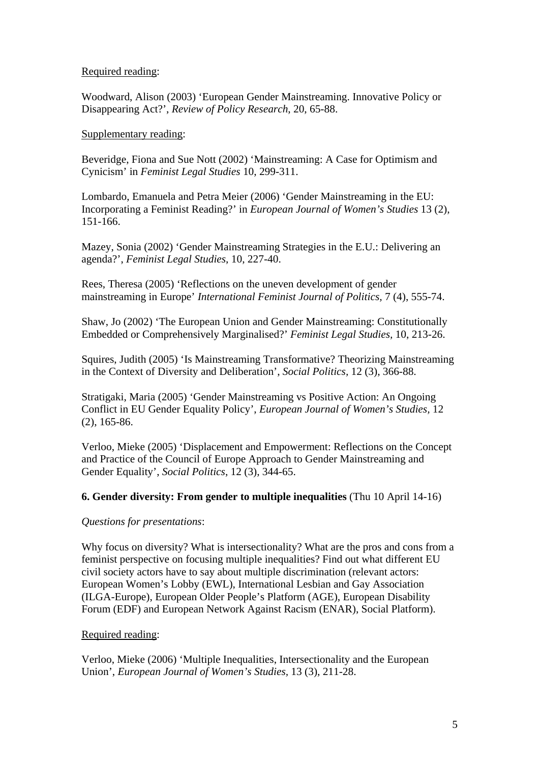Required reading:

Woodward, Alison (2003) 'European Gender Mainstreaming. Innovative Policy or Disappearing Act?', *Review of Policy Research*, 20, 65-88.

## Supplementary reading:

Beveridge, Fiona and Sue Nott (2002) 'Mainstreaming: A Case for Optimism and Cynicism' in *Feminist Legal Studies* 10, 299-311.

Lombardo, Emanuela and Petra Meier (2006) 'Gender Mainstreaming in the EU: Incorporating a Feminist Reading?' in *European Journal of Women's Studies* 13 (2), 151-166.

Mazey, Sonia (2002) 'Gender Mainstreaming Strategies in the E.U.: Delivering an agenda?', *Feminist Legal Studies*, 10, 227-40.

Rees, Theresa (2005) 'Reflections on the uneven development of gender mainstreaming in Europe' *International Feminist Journal of Politics,* 7 (4), 555-74.

Shaw, Jo (2002) 'The European Union and Gender Mainstreaming: Constitutionally Embedded or Comprehensively Marginalised?' *Feminist Legal Studies,* 10, 213-26.

Squires, Judith (2005) 'Is Mainstreaming Transformative? Theorizing Mainstreaming in the Context of Diversity and Deliberation', *Social Politics,* 12 (3), 366-88.

Stratigaki, Maria (2005) 'Gender Mainstreaming vs Positive Action: An Ongoing Conflict in EU Gender Equality Policy', *European Journal of Women's Studies,* 12 (2), 165-86.

Verloo, Mieke (2005) 'Displacement and Empowerment: Reflections on the Concept and Practice of the Council of Europe Approach to Gender Mainstreaming and Gender Equality', *Social Politics*, 12 (3), 344-65.

## **6. Gender diversity: From gender to multiple inequalities** (Thu 10 April 14-16)

# *Questions for presentations*:

Why focus on diversity? What is intersectionality? What are the pros and cons from a feminist perspective on focusing multiple inequalities? Find out what different EU civil society actors have to say about multiple discrimination (relevant actors: European Women's Lobby (EWL), International Lesbian and Gay Association (ILGA-Europe), European Older People's Platform (AGE), European Disability Forum (EDF) and European Network Against Racism (ENAR), Social Platform).

# Required reading:

Verloo, Mieke (2006) 'Multiple Inequalities, Intersectionality and the European Union', *European Journal of Women's Studies,* 13 (3), 211-28.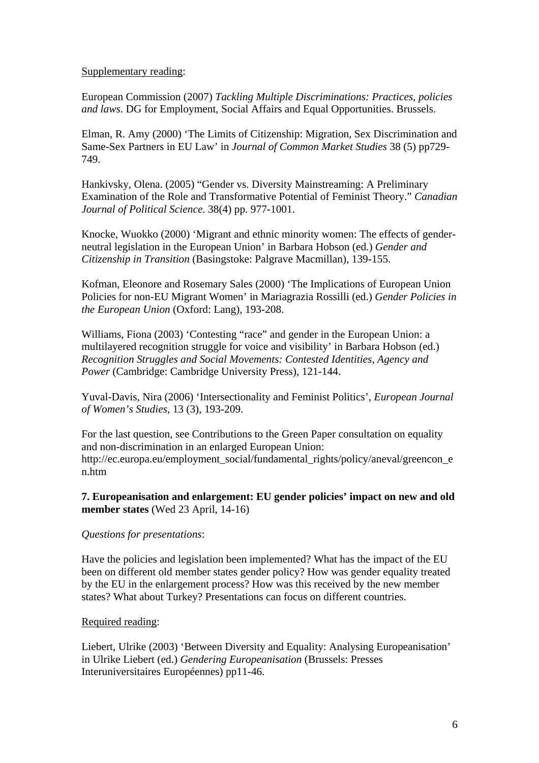#### Supplementary reading:

European Commission (2007) *Tackling Multiple Discriminations: Practices, policies and laws*. DG for Employment, Social Affairs and Equal Opportunities. Brussels.

Elman, R. Amy (2000) 'The Limits of Citizenship: Migration, Sex Discrimination and Same-Sex Partners in EU Law' in *Journal of Common Market Studies* 38 (5) pp729- 749.

Hankivsky, Olena. (2005) "Gender vs. Diversity Mainstreaming: A Preliminary Examination of the Role and Transformative Potential of Feminist Theory." *Canadian Journal of Political Science*. 38(4) pp. 977-1001.

Knocke, Wuokko (2000) 'Migrant and ethnic minority women: The effects of genderneutral legislation in the European Union' in Barbara Hobson (ed.) *Gender and Citizenship in Transition* (Basingstoke: Palgrave Macmillan), 139-155.

Kofman, Eleonore and Rosemary Sales (2000) 'The Implications of European Union Policies for non-EU Migrant Women' in Mariagrazia Rossilli (ed.) *Gender Policies in the European Union* (Oxford: Lang), 193-208.

Williams, Fiona (2003) 'Contesting "race" and gender in the European Union: a multilayered recognition struggle for voice and visibility' in Barbara Hobson (ed.) *Recognition Struggles and Social Movements: Contested Identities, Agency and Power* (Cambridge: Cambridge University Press), 121-144.

Yuval-Davis, Nira (2006) 'Intersectionality and Feminist Politics', *European Journal of Women's Studies,* 13 (3), 193-209.

For the last question, see Contributions to the Green Paper consultation on equality and non-discrimination in an enlarged European Union: http://ec.europa.eu/employment\_social/fundamental\_rights/policy/aneval/greencon\_e n.htm

## **7. Europeanisation and enlargement: EU gender policies' impact on new and old member states** (Wed 23 April, 14-16)

## *Questions for presentations*:

Have the policies and legislation been implemented? What has the impact of the EU been on different old member states gender policy? How was gender equality treated by the EU in the enlargement process? How was this received by the new member states? What about Turkey? Presentations can focus on different countries.

## Required reading:

Liebert, Ulrike (2003) 'Between Diversity and Equality: Analysing Europeanisation' in Ulrike Liebert (ed.) *Gendering Europeanisation* (Brussels: Presses Interuniversitaires Européennes) pp11-46.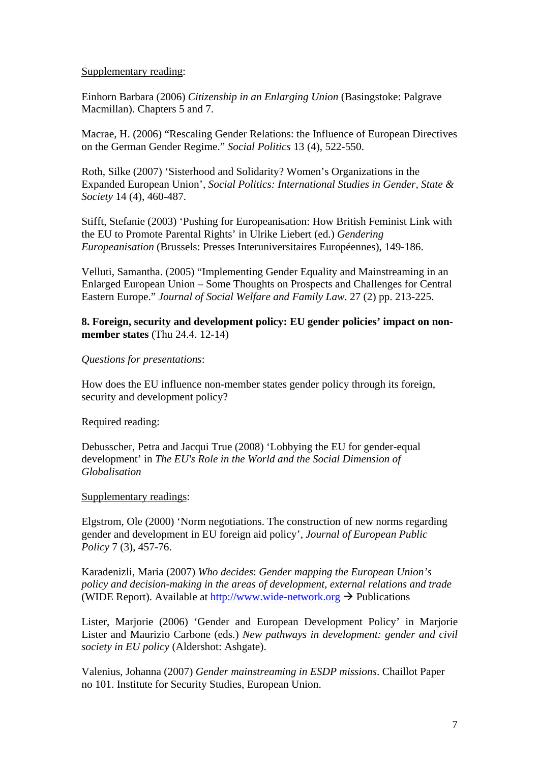#### Supplementary reading:

Einhorn Barbara (2006) *Citizenship in an Enlarging Union* (Basingstoke: Palgrave Macmillan). Chapters 5 and 7.

Macrae, H. (2006) "Rescaling Gender Relations: the Influence of European Directives on the German Gender Regime." *Social Politics* 13 (4), 522-550.

Roth, Silke (2007) 'Sisterhood and Solidarity? Women's Organizations in the Expanded European Union', *Social Politics: International Studies in Gender, State & Society* 14 (4), 460-487.

Stifft, Stefanie (2003) 'Pushing for Europeanisation: How British Feminist Link with the EU to Promote Parental Rights' in Ulrike Liebert (ed.) *Gendering Europeanisation* (Brussels: Presses Interuniversitaires Européennes), 149-186.

Velluti, Samantha. (2005) "Implementing Gender Equality and Mainstreaming in an Enlarged European Union – Some Thoughts on Prospects and Challenges for Central Eastern Europe." *Journal of Social Welfare and Family Law*. 27 (2) pp. 213-225.

## **8. Foreign, security and development policy: EU gender policies' impact on nonmember states** (Thu 24.4. 12-14)

#### *Questions for presentations*:

How does the EU influence non-member states gender policy through its foreign, security and development policy?

#### Required reading:

Debusscher, Petra and Jacqui True (2008) 'Lobbying the EU for gender-equal development' in *The EU's Role in the World and the Social Dimension of Globalisation* 

#### Supplementary readings:

Elgstrom, Ole (2000) 'Norm negotiations. The construction of new norms regarding gender and development in EU foreign aid policy', *Journal of European Public Policy* 7 (3), 457-76.

Karadenizli, Maria (2007) *Who decides*: *Gender mapping the European Union's policy and decision-making in the areas of development, external relations and trade* (WIDE Report). Available at [http://www.wide-network.org](http://www.wide-network.org/)  $\rightarrow$  Publications

Lister, Marjorie (2006) 'Gender and European Development Policy' in Marjorie Lister and Maurizio Carbone (eds.) *New pathways in development: gender and civil society in EU policy* (Aldershot: Ashgate).

Valenius, Johanna (2007) *Gender mainstreaming in ESDP missions*. Chaillot Paper no 101. Institute for Security Studies, European Union.